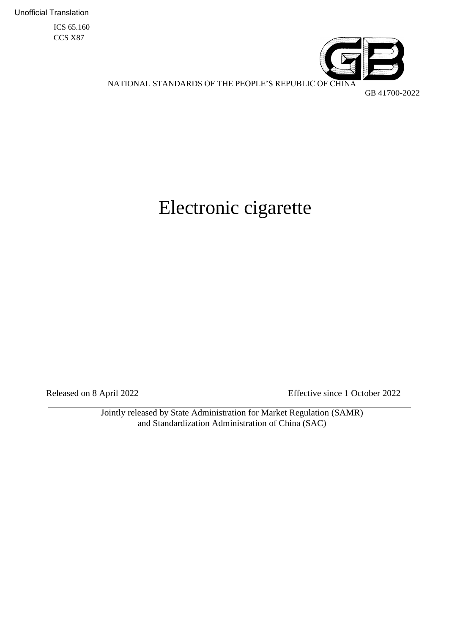Unofficial Translation

ICS 65.160 CCS X87



NATIONAL STANDARDS OF THE PEOPLE'S REPUBLIC OF CHINA

## GB 41700-2022

# Electronic cigarette

Released on 8 April 2022 Effective since 1 October 2022

Jointly released by State Administration for Market Regulation (SAMR) and Standardization Administration of China (SAC)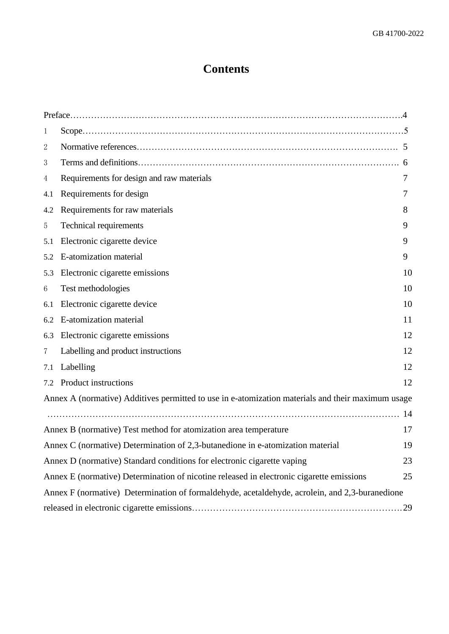# **Contents**

| 1                                                                                              |                                                                                                   |    |  |  |  |
|------------------------------------------------------------------------------------------------|---------------------------------------------------------------------------------------------------|----|--|--|--|
| 2                                                                                              |                                                                                                   |    |  |  |  |
| 3                                                                                              |                                                                                                   |    |  |  |  |
| 4                                                                                              | Requirements for design and raw materials                                                         | 7  |  |  |  |
| 4.1                                                                                            | Requirements for design                                                                           |    |  |  |  |
| 4.2                                                                                            | Requirements for raw materials                                                                    | 8  |  |  |  |
| 5                                                                                              | Technical requirements                                                                            | 9  |  |  |  |
| 5.1                                                                                            | Electronic cigarette device                                                                       | 9  |  |  |  |
| 5.2                                                                                            | E-atomization material                                                                            | 9  |  |  |  |
| 5.3                                                                                            | Electronic cigarette emissions                                                                    | 10 |  |  |  |
| 6                                                                                              | Test methodologies                                                                                | 10 |  |  |  |
| 6.1                                                                                            | Electronic cigarette device                                                                       | 10 |  |  |  |
|                                                                                                | 6.2 E-atomization material                                                                        | 11 |  |  |  |
| 6.3                                                                                            | Electronic cigarette emissions                                                                    | 12 |  |  |  |
| $\overline{7}$                                                                                 | Labelling and product instructions                                                                | 12 |  |  |  |
| 7.1                                                                                            | Labelling                                                                                         | 12 |  |  |  |
|                                                                                                | 7.2 Product instructions                                                                          | 12 |  |  |  |
|                                                                                                | Annex A (normative) Additives permitted to use in e-atomization materials and their maximum usage |    |  |  |  |
|                                                                                                |                                                                                                   |    |  |  |  |
|                                                                                                | Annex B (normative) Test method for atomization area temperature                                  | 17 |  |  |  |
|                                                                                                | Annex C (normative) Determination of 2,3-butanedione in e-atomization material                    | 19 |  |  |  |
|                                                                                                | 23<br>Annex D (normative) Standard conditions for electronic cigarette vaping                     |    |  |  |  |
|                                                                                                | Annex E (normative) Determination of nicotine released in electronic cigarette emissions<br>25    |    |  |  |  |
| Annex F (normative) Determination of formaldehyde, acetaldehyde, acrolein, and 2,3-buranedione |                                                                                                   |    |  |  |  |
|                                                                                                |                                                                                                   |    |  |  |  |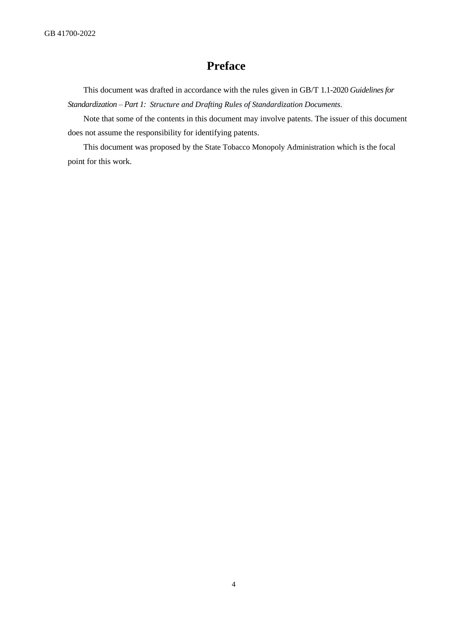# **Preface**

This document was drafted in accordance with the rules given in GB/T 1.1-2020 *Guidelines for Standardization – Part 1: Structure and Drafting Rules of Standardization Documents*.

Note that some of the contents in this document may involve patents. The issuer of this document does not assume the responsibility for identifying patents.

This document was proposed by the State Tobacco Monopoly Administration which is the focal point for this work.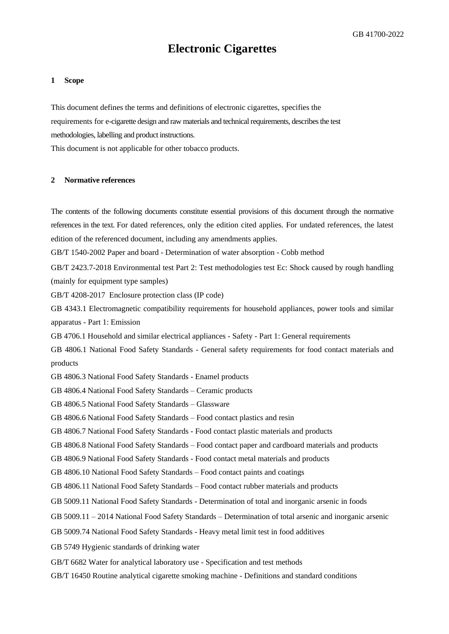# **Electronic Cigarettes**

#### <span id="page-4-0"></span>**1 Scope**

This document defines the terms and definitions of electronic cigarettes, specifies the requirements for e-cigarette design and raw materials and technical requirements, describes the test methodologies, labelling and product instructions.

This document is not applicable for other tobacco products.

#### <span id="page-4-1"></span>**2 Normative references**

The contents of the following documents constitute essential provisions of this document through the normative references in the text. For dated references, only the edition cited applies. For undated references, the latest edition of the referenced document, including any amendments applies. GB/T 1540-2002 Paper and board - Determination of water absorption - Cobb method GB/T 2423.7-2018 Environmental test Part 2: Test methodologies test Ec: Shock caused by rough handling (mainly for equipment type samples) GB/T 4208-2017 Enclosure protection class (IP code) GB 4343.1 Electromagnetic compatibility requirements for household appliances, power tools and similar apparatus - Part 1: Emission GB 4706.1 Household and similar electrical appliances - Safety - Part 1: General requirements GB 4806.1 National Food Safety Standards - General safety requirements for food contact materials and products GB 4806.3 National Food Safety Standards - Enamel products GB 4806.4 National Food Safety Standards – Ceramic products GB 4806.5 National Food Safety Standards – Glassware GB 4806.6 National Food Safety Standards – Food contact plastics and resin GB 4806.7 National Food Safety Standards - Food contact plastic materials and products GB 4806.8 National Food Safety Standards – Food contact paper and cardboard materials and products GB 4806.9 National Food Safety Standards - Food contact metal materials and products GB 4806.10 National Food Safety Standards – Food contact paints and coatings GB 4806.11 National Food Safety Standards – Food contact rubber materials and products GB 5009.11 National Food Safety Standards - Determination of total and inorganic arsenic in foods GB 5009.11 – 2014 National Food Safety Standards – Determination of total arsenic and [inorganic](javascript:;) [arsenic](javascript:;) GB 5009.74 National Food Safety Standards - Heavy metal limit test in food additives GB 5749 Hygienic standards of drinking water GB/T 6682 Water for analytical laboratory use - Specification and test methods

GB/T 16450 Routine analytical cigarette smoking machine - Definitions and standard conditions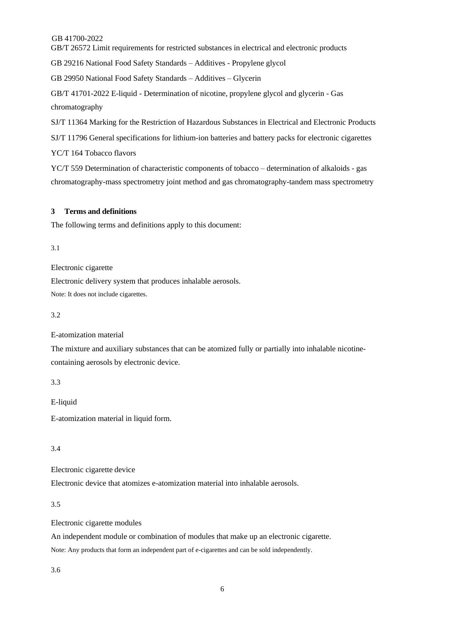GB/T 26572 Limit requirements for restricted substances in electrical and electronic products

GB 29216 National Food Safety Standards – Additives - [Propylene](javascript:;) [glycol](javascript:;)

GB 29950 National Food Safety Standards – Additives – Glycerin

GB/T 41701-2022 E-liquid - Determination of nicotine, propylene glycol and glycerin - Gas chromatography

SJ/T 11364 Marking for the Restriction of Hazardous Substances in Electrical and Electronic Products SJ/T 11796 General specifications for lithium-ion batteries and battery packs for electronic cigarettes YC/T 164 Tobacco flavors

YC/T 559 Determination of characteristic components of tobacco – determination of alkaloids - gas chromatography-mass spectrometry joint method and gas chromatography-tandem mass spectrometry

#### <span id="page-5-0"></span>**3 Terms and definitions**

The following terms and definitions apply to this document:

3.1

Electronic cigarette

Electronic delivery system that produces inhalable aerosols.

Note: It does not include cigarettes.

3.2

E-atomization material

The mixture and auxiliary substances that can be atomized fully or partially into inhalable nicotinecontaining aerosols by electronic device.

3.3

E-liquid

E-atomization material in liquid form.

3.4

Electronic cigarette device

Electronic device that atomizes e-atomization material into inhalable aerosols.

3.5

Electronic cigarette modules

An independent module or combination of modules that make up an electronic cigarette. Note: Any products that form an independent part of e-cigarettes and can be sold independently.

3.6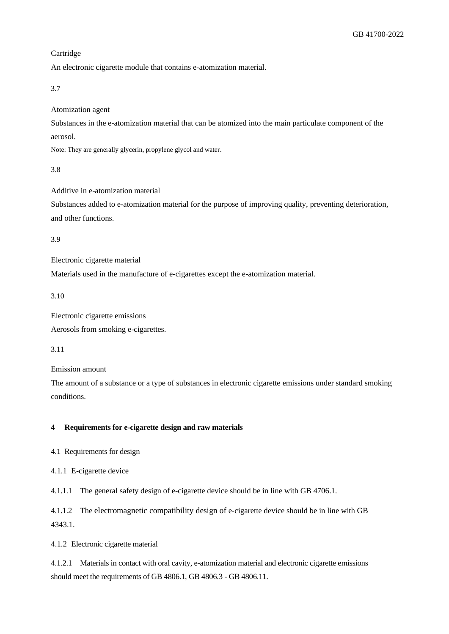#### Cartridge

An electronic cigarette module that contains e-atomization material.

3.7

Atomization agent

Substances in the e-atomization material that can be atomized into the main particulate component of the aerosol.

Note: They are generally glycerin, propylene glycol and water.

3.8

Additive in e-atomization material

Substances added to e-atomization material for the purpose of improving quality, preventing deterioration, and other functions.

3.9

Electronic cigarette material

Materials used in the manufacture of e-cigarettes except the e-atomization material.

3.10

Electronic cigarette emissions Aerosols from smoking e-cigarettes.

3.11

Emission amount

The amount of a substance or a type of substances in electronic cigarette emissions under standard smoking conditions.

#### <span id="page-6-0"></span>**4 Requirements for e-cigarette design and raw materials**

4.1 Requirements for design

4.1.1 E-cigarette device

4.1.1.1 The general safety design of e-cigarette device should be in line with GB 4706.1.

4.1.1.2 The electromagnetic compatibility design of e-cigarette device should be in line with GB 4343.1.

4.1.2 Electronic cigarette material

4.1.2.1 Materials in contact with oral cavity, e-atomization material and electronic cigarette emissions should meet the requirements of GB 4806.1, GB 4806.3 - GB 4806.11.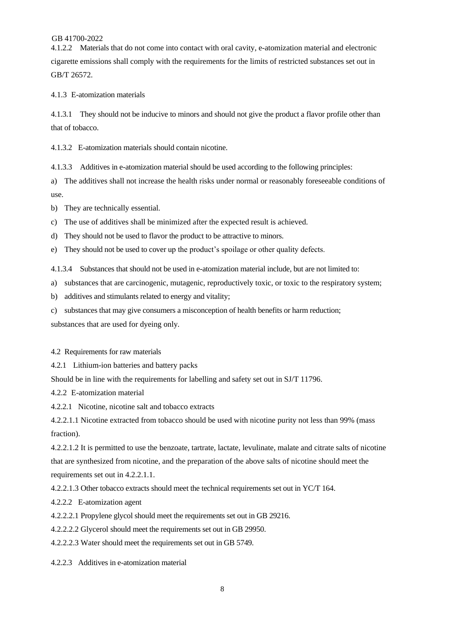4.1.2.2 Materials that do not come into contact with oral cavity, e-atomization material and electronic cigarette emissions shall comply with the requirements for the limits of restricted substances set out in GB/T 26572.

4.1.3 E-atomization materials

4.1.3.1 They should not be inducive to minors and should not give the product a flavor profile other than that of tobacco.

4.1.3.2 E-atomization materials should contain nicotine.

4.1.3.3 Additives in e-atomization material should be used according to the following principles:

a) The additives shall not increase the health risks under normal or reasonably foreseeable conditions of use.

b) They are technically essential.

c) The use of additives shall be minimized after the expected result is achieved.

d) They should not be used to flavor the product to be attractive to minors.

e) They should not be used to cover up the product's spoilage or other quality defects.

4.1.3.4 Substances that should not be used in e-atomization material include, but are not limited to:

a) substances that are carcinogenic, mutagenic, reproductively toxic, or toxic to the respiratory system;

b) additives and stimulants related to energy and vitality;

c) substances that may give consumers a misconception of health benefits or harm reduction;

substances that are used for dyeing only.

4.2 Requirements for raw materials

4.2.1 Lithium-ion batteries and battery packs

Should be in line with the requirements for labelling and safety set out in SJ/T 11796.

4.2.2 E-atomization material

4.2.2.1 Nicotine, nicotine salt and tobacco extracts

4.2.2.1.1 Nicotine extracted from tobacco should be used with nicotine purity not less than 99% (mass fraction).

4.2.2.1.2 It is permitted to use the benzoate, tartrate, lactate, levulinate, malate and citrate salts of nicotine that are synthesized from nicotine, and the preparation of the above salts of nicotine should meet the requirements set out in 4.2.2.1.1.

4.2.2.1.3 Other tobacco extracts should meet the technical requirements set out in YC/T 164.

4.2.2.2 E-atomization agent

4.2.2.2.1 Propylene glycol should meet the requirements set out in GB 29216.

4.2.2.2.2 Glycerol should meet the requirements set out in GB 29950.

4.2.2.2.3 Water should meet the requirements set out in GB 5749.

4.2.2.3 Additives in e-atomization material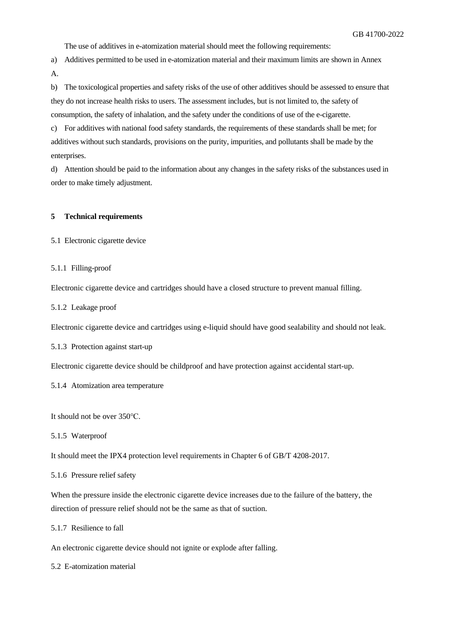The use of additives in e-atomization material should meet the following requirements:

a) Additives permitted to be used in e-atomization material and their maximum limits are shown in Annex A.

b) The toxicological properties and safety risks of the use of other additives should be assessed to ensure that they do not increase health risks to users. The assessment includes, but is not limited to, the safety of consumption, the safety of inhalation, and the safety under the conditions of use of the e-cigarette.

c) For additives with national food safety standards, the requirements of these standards shall be met; for additives without such standards, provisions on the purity, impurities, and pollutants shall be made by the enterprises.

d) Attention should be paid to the information about any changes in the safety risks of the substances used in order to make timely adjustment.

#### **5 Technical requirements**

<span id="page-8-0"></span>5.1 Electronic cigarette device

#### 5.1.1 Filling-proof

Electronic cigarette device and cartridges should have a closed structure to prevent manual filling.

5.1.2 Leakage proof

Electronic cigarette device and cartridges using e-liquid should have good sealability and should not leak.

5.1.3 Protection against start-up

Electronic cigarette device should be childproof and have protection against accidental start-up.

5.1.4 Atomization area temperature

It should not be over 350℃.

5.1.5 Waterproof

It should meet the IPX4 protection level requirements in Chapter 6 of GB/T 4208-2017.

5.1.6 Pressure relief safety

When the pressure inside the electronic cigarette device increases due to the failure of the battery, the direction of pressure relief should not be the same as that of suction.

5.1.7 Resilience to fall

An electronic cigarette device should not ignite or explode after falling.

5.2 E-atomization material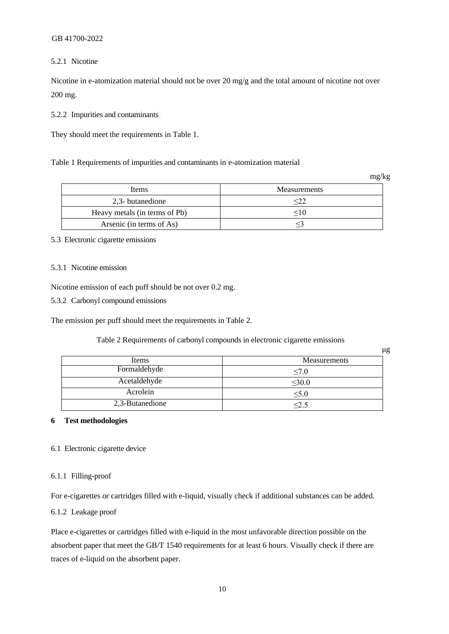#### 5.2.1 Nicotine

Nicotine in e-atomization material should not be over 20 mg/g and the total amount of nicotine not over 200 mg.

5.2.2 Impurities and contaminants

They should meet the requirements in Table 1.

Table 1 Requirements of impurities and contaminants in e-atomization material

mg/kg

| Items                         | Measurements |
|-------------------------------|--------------|
| 2,3- butanedione              |              |
| Heavy metals (in terms of Pb) | - 10         |
| Arsenic (in terms of As)      |              |

#### 5.3 Electronic cigarette emissions

#### 5.3.1 Nicotine emission

Nicotine emission of each puff should be not over 0.2 mg.

5.3.2 Carbonyl compound emissions

The emission per puff should meet the requirements in Table 2.

Table 2 Requirements of carbonyl compounds in electronic cigarette emissions

|                 | μg                  |
|-----------------|---------------------|
| Items           | <b>Measurements</b> |
| Formaldehyde    | $\leq 7.0$          |
| Acetaldehyde    | $\leq 30.0$         |
| Acrolein        | $\leq 5.0$          |
| 2,3-Butanedione | $< \!\! 2.5$        |

#### **6 Test methodologies**

#### <span id="page-9-0"></span>6.1 Electronic cigarette device

#### 6.1.1 Filling-proof

For e-cigarettes or cartridges filled with e-liquid, visually check if additional substances can be added.

#### 6.1.2 Leakage proof

Place e-cigarettes or cartridges filled with e-liquid in the most unfavorable direction possible on the absorbent paper that meet the GB/T 1540 requirements for at least 6 hours. Visually check if there are traces of e-liquid on the absorbent paper.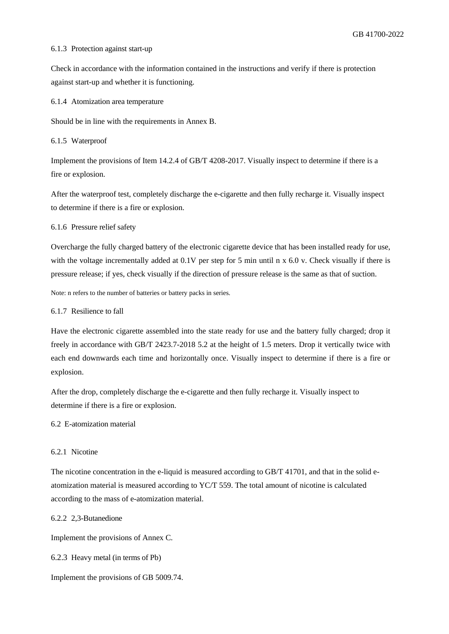#### 6.1.3 Protection against start-up

Check in accordance with the information contained in the instructions and verify if there is protection against start-up and whether it is functioning.

6.1.4 Atomization area temperature

Should be in line with the requirements in Annex B.

6.1.5 Waterproof

Implement the provisions of Item 14.2.4 of GB/T 4208-2017. Visually inspect to determine if there is a fire or explosion.

After the waterproof test, completely discharge the e-cigarette and then fully recharge it. Visually inspect to determine if there is a fire or explosion.

6.1.6 Pressure relief safety

Overcharge the fully charged battery of the electronic cigarette device that has been installed ready for use, with the voltage incrementally added at  $0.1V$  per step for 5 min until n x  $6.0$  v. Check visually if there is pressure release; if yes, check visually if the direction of pressure release is the same as that of suction.

Note: n refers to the number of batteries or battery packs in series.

#### 6.1.7 Resilience to fall

Have the electronic cigarette assembled into the state ready for use and the battery fully charged; drop it freely in accordance with GB/T 2423.7-2018 5.2 at the height of 1.5 meters. Drop it vertically twice with each end downwards each time and horizontally once. Visually inspect to determine if there is a fire or explosion.

After the drop, completely discharge the e-cigarette and then fully recharge it. Visually inspect to determine if there is a fire or explosion.

#### <span id="page-10-0"></span>6.2 E-atomization material

#### 6.2.1 Nicotine

The nicotine concentration in the e-liquid is measured according to GB/T 41701, and that in the solid eatomization material is measured according to YC/T 559. The total amount of nicotine is calculated according to the mass of e-atomization material.

6.2.2 2,3-Butanedione

Implement the provisions of Annex C.

6.2.3 Heavy metal (in terms of Pb)

Implement the provisions of GB 5009.74.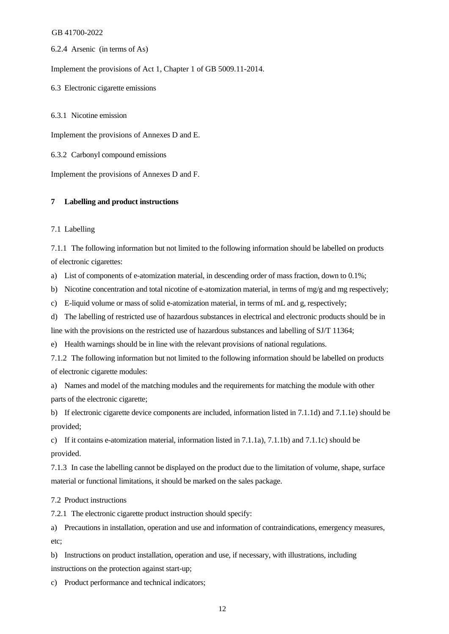6.2.4 Arsenic (in terms of As)

Implement the provisions of Act 1, Chapter 1 of GB 5009.11-2014.

<span id="page-11-0"></span>6.3 Electronic cigarette emissions

6.3.1 Nicotine emission

Implement the provisions of Annexes D and E.

6.3.2 Carbonyl compound emissions

Implement the provisions of Annexes D and F.

#### <span id="page-11-1"></span>**7 Labelling and product instructions**

#### <span id="page-11-2"></span>7.1 Labelling

7.1.1 The following information but not limited to the following information should be labelled on products of electronic cigarettes:

a) List of components of e-atomization material, in descending order of mass fraction, down to 0.1%;

b) Nicotine concentration and total nicotine of e-atomization material, in terms of mg/g and mg respectively;

c) E-liquid volume or mass of solid e-atomization material, in terms of mL and g, respectively;

d) The labelling of restricted use of hazardous substances in electrical and electronic products should be in

line with the provisions on the restricted use of hazardous substances and labelling of SJ/T 11364;

e) Health warnings should be in line with the relevant provisions of national regulations.

7.1.2 The following information but not limited to the following information should be labelled on products of electronic cigarette modules:

a) Names and model of the matching modules and the requirements for matching the module with other parts of the electronic cigarette;

b) If electronic cigarette device components are included, information listed in 7.1.1d) and 7.1.1e) should be provided;

c) If it contains e-atomization material, information listed in 7.1.1a), 7.1.1b) and 7.1.1c) should be provided.

7.1.3 In case the labelling cannot be displayed on the product due to the limitation of volume, shape, surface material or functional limitations, it should be marked on the sales package.

<span id="page-11-3"></span>7.2 Product instructions

7.2.1 The electronic cigarette product instruction should specify:

a) Precautions in installation, operation and use and information of contraindications, emergency measures, etc;

b) Instructions on product installation, operation and use, if necessary, with illustrations, including instructions on the protection against start-up;

c) Product performance and technical indicators;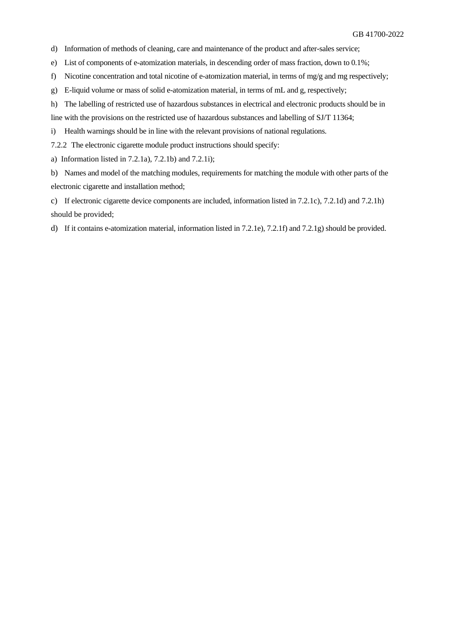- d) Information of methods of cleaning, care and maintenance of the product and after-sales service;
- e) List of components of e-atomization materials, in descending order of mass fraction, down to 0.1%;
- f) Nicotine concentration and total nicotine of e-atomization material, in terms of mg/g and mg respectively;
- g) E-liquid volume or mass of solid e-atomization material, in terms of mL and g, respectively;
- h) The labelling of restricted use of hazardous substances in electrical and electronic products should be in
- line with the provisions on the restricted use of hazardous substances and labelling of SJ/T 11364;
- i) Health warnings should be in line with the relevant provisions of national regulations.

7.2.2 The electronic cigarette module product instructions should specify:

a) Information listed in 7.2.1a), 7.2.1b) and 7.2.1i);

b) Names and model of the matching modules, requirements for matching the module with other parts of the electronic cigarette and installation method;

c) If electronic cigarette device components are included, information listed in 7.2.1c), 7.2.1d) and 7.2.1h) should be provided;

d) If it contains e-atomization material, information listed in 7.2.1e), 7.2.1f) and 7.2.1g) should be provided.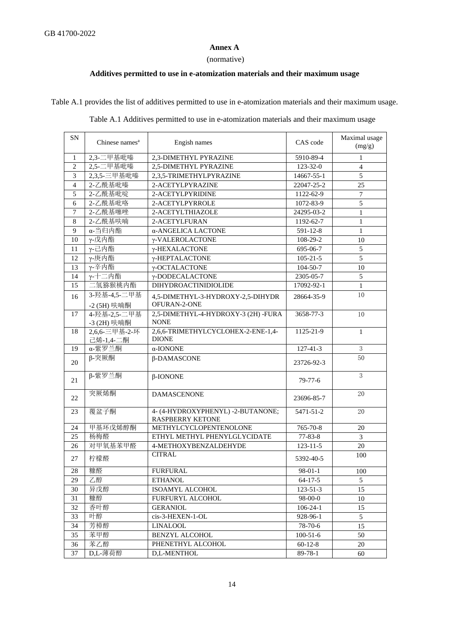#### **Annex A**

#### (normative)

### <span id="page-13-0"></span>**Additives permitted to use in e-atomization materials and thei[r maximum usage](javascript:;)**

<span id="page-13-1"></span>Table A.1 provides the list of additives permitted to use in e-atomization materials and their [maximum usage.](javascript:;)

| Table A.1 Additives permitted to use in e-atomization materials and their maximum usage |  |  |  |  |
|-----------------------------------------------------------------------------------------|--|--|--|--|

| SN             | Chinese names <sup>a</sup>   | Engish names                                       | CAS code        | Maximal usage<br>(mg/g) |
|----------------|------------------------------|----------------------------------------------------|-----------------|-------------------------|
| 1              | 2,3-二甲基吡嗪                    | 2,3-DIMETHYL PYRAZINE                              | 5910-89-4       | 1                       |
| $\mathbf{2}$   | 2,5-二甲基吡嗪                    | 2,5-DIMETHYL PYRAZINE                              | $123 - 32 - 0$  | $\overline{4}$          |
| 3              | 2,3,5-三甲基吡嗪                  | 2,3,5-TRIMETHYLPYRAZINE                            | 14667-55-1      | 5                       |
| $\overline{4}$ | 2-乙酰基吡嗪                      | 2-ACETYLPYRAZINE                                   | 22047-25-2      | 25                      |
| 5              | 2-乙酰基吡啶                      | 2-ACETYLPYRIDINE                                   | 1122-62-9       | $7\phantom{.0}$         |
| 6              | 2-乙酰基吡咯                      | 2-ACETYLPYRROLE                                    | 1072-83-9       | 5                       |
| $\overline{7}$ | 2-乙酰基噻唑                      | 2-ACETYLTHIAZOLE                                   | 24295-03-2      | $\mathbf{1}$            |
| $\,8\,$        | 2-乙酰基呋喃                      | 2-ACETYLFURAN                                      | 1192-62-7       | $\mathbf{1}$            |
| 9              | α-当归内酯                       | α-ANGELICA LACTONE                                 | 591-12-8        | $\mathbf{1}$            |
| 10             | γ-戊内酯                        | γ-VALEROLACTONE                                    | 108-29-2        | 10                      |
| 11             | γ-己内酯                        | γ-HEXALACTONE                                      | 695-06-7        | 5                       |
| 12             | γ-庚内酯                        | γ-HEPTALACTONE                                     | $105 - 21 - 5$  | 5                       |
| 13             | γ-辛内酯                        | γ-OCTALACTONE                                      | $104 - 50 - 7$  | 10                      |
| 14             | γ-十二内酯                       | γ-DODECALACTONE                                    | 2305-05-7       | 5                       |
| 15             | 二氢猕猴桃内酯                      | DIHYDROACTINIDIOLIDE                               | 17092-92-1      | $\mathbf{1}$            |
|                | 3-羟基-4,5-二甲基                 |                                                    |                 | 10                      |
| 16             | -2 (5H) 呋喃酮                  | 4,5-DIMETHYL-3-HYDROXY-2,5-DIHYDR<br>OFURAN-2-ONE  | 28664-35-9      |                         |
| 17             | 4-羟基-2,5-二甲基                 | 2,5-DIMETHYL-4-HYDROXY-3 (2H) -FURA<br><b>NONE</b> | 3658-77-3       | 10                      |
| 18             | -3 (2H) 呋喃酮<br>2,6,6-三甲基-2-环 | 2,6,6-TRIMETHYLCYCLOHEX-2-ENE-1,4-                 | 1125-21-9       | 1                       |
|                | 己烯-1,4-二酮                    | <b>DIONE</b>                                       |                 |                         |
| 19             | α-紫罗兰酮                       | α-IONONE                                           | $127 - 41 - 3$  | $\overline{3}$          |
| 20             | β-突厥酮                        | β-DAMASCONE                                        | 23726-92-3      | 50                      |
| 21             | β-紫罗兰酮                       | $\beta$ -IONONE                                    | $79-77-6$       | 3                       |
| 22             | 突厥烯酮                         | <b>DAMASCENONE</b>                                 | 23696-85-7      | 20                      |
| 23             | 覆盆子酮                         | 4- (4-HYDROXYPHENYL) -2-BUTANONE;                  | $5471 - 51 - 2$ | 20                      |
|                |                              | <b>RASPBERRY KETONE</b>                            |                 |                         |
| 24             | 甲基环戊烯醇酮                      | METHYLCYCLOPENTENOLONE                             | 765-70-8        | 20                      |
| 25             | 杨梅醛                          | ETHYL METHYL PHENYLGLYCIDATE                       | $77 - 83 - 8$   | 3                       |
| 26             | 对甲氧基苯甲醛                      | 4-METHOXYBENZALDEHYDE                              | $123 - 11 - 5$  | 20                      |
| 27             | 柠檬醛                          | <b>CITRAL</b>                                      | 5392-40-5       | 100                     |
| 28             | 糠醛                           | <b>FURFURAL</b>                                    | $98 - 01 - 1$   | 100                     |
| 29             | 乙醇                           | <b>ETHANOL</b>                                     | $64 - 17 - 5$   | 5                       |
| 30             | 异戊醇                          | ISOAMYL ALCOHOL                                    | $123 - 51 - 3$  | 15                      |
| 31             | 糠醇                           | <b>FURFURYL ALCOHOL</b>                            | 98-00-0         | 10                      |
| 32             | 香叶醇                          | <b>GERANIOL</b>                                    | $106 - 24 - 1$  | 15                      |
| 33             | 叶醇                           | cis-3-HEXEN-1-OL                                   | 928-96-1        | 5                       |
| 34             | 芳樟醇                          | <b>LINALOOL</b>                                    | 78-70-6         | 15                      |
| 35             | 苯甲醇                          | <b>BENZYL ALCOHOL</b>                              | $100-51-6$      | 50                      |
| 36             | 苯乙醇                          | PHENETHYL ALCOHOL                                  | $60-12-8$       | 20                      |
| 37             | D,L-薄荷醇                      | D.L-MENTHOL                                        | $89-78-1$       | 60                      |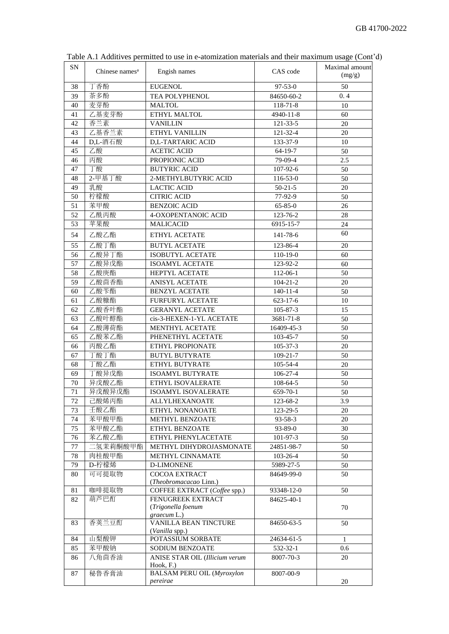| <b>SN</b> | Chinese names <sup>a</sup> | Engish names                      | CAS code       | Maximal amount<br>(mg/g) |
|-----------|----------------------------|-----------------------------------|----------------|--------------------------|
| 38        | 丁香酚                        | <b>EUGENOL</b>                    | $97 - 53 - 0$  | 50                       |
| 39        | 茶多酚                        | TEA POLYPHENOL                    | 84650-60-2     | 0.4                      |
| 40        | 麦芽酚                        | <b>MALTOL</b>                     | 118-71-8       | 10                       |
| 41        | 乙基麦芽酚                      | ETHYL MALTOL                      | 4940-11-8      | 60                       |
| 42        | 香兰素                        | <b>VANILLIN</b>                   | 121-33-5       | 20                       |
| 43        | 乙基香兰素                      | ETHYL VANILLIN                    | 121-32-4       | 20                       |
| 44        | D,L-酒石酸                    | D,L-TARTARIC ACID                 | 133-37-9       | 10                       |
| 45        | 乙酸                         | <b>ACETIC ACID</b>                | $64-19-7$      | 50                       |
| 46        | 丙酸                         | PROPIONIC ACID                    | 79-09-4        | 2.5                      |
| 47        | 丁酸                         | <b>BUTYRIC ACID</b>               | 107-92-6       | 50                       |
| 48        | 2-甲基丁酸                     | 2-METHYLBUTYRIC ACID              | 116-53-0       | 50                       |
| 49        | 乳酸                         | <b>LACTIC ACID</b>                | $50 - 21 - 5$  | 20                       |
| 50        | 柠檬酸                        | <b>CITRIC ACID</b>                | 77-92-9        | 50                       |
| 51        | 苯甲酸                        | <b>BENZOIC ACID</b>               | $65 - 85 - 0$  | 26                       |
| 52        | 乙酰丙酸                       | 4-OXOPENTANOIC ACID               | 123-76-2       | 28                       |
| 53        | 苹果酸                        | <b>MALICACID</b>                  | 6915-15-7      | 24                       |
|           |                            |                                   |                | 60                       |
| 54        | 乙酸乙酯                       | ETHYL ACETATE                     | 141-78-6       |                          |
| 55        | 乙酸丁酯                       | <b>BUTYL ACETATE</b>              | 123-86-4       | 20                       |
| 56        | 乙酸异丁酯                      | <b>ISOBUTYL ACETATE</b>           | 110-19-0       | 60                       |
| 57        | 乙酸异戊酯                      | <b>ISOAMYL ACETATE</b>            | 123-92-2       | 60                       |
| 58        | 乙酸庚酯                       | HEPTYL ACETATE                    | 112-06-1       | 50                       |
| 59        | 乙酸茴香酯                      | <b>ANISYL ACETATE</b>             | $104 - 21 - 2$ | 20                       |
| 60        | 乙酸苄酯                       | <b>BENZYL ACETATE</b>             | $140 - 11 - 4$ | 50                       |
| 61        | 乙酸糠酯                       | FURFURYL ACETATE                  | $623 - 17 - 6$ | 10                       |
| 62        | 乙酸香叶酯                      | <b>GERANYL ACETATE</b>            | 105-87-3       | 15                       |
| 63        | 乙酸叶醇酯                      | cis-3-HEXEN-1-YL ACETATE          | 3681-71-8      | 50                       |
| 64        | 乙酸薄荷酯                      | MENTHYL ACETATE                   | 16409-45-3     | 50                       |
| 65        | 乙酸苯乙酯                      | PHENETHYL ACETATE                 | 103-45-7       | 50                       |
| 66        | 丙酸乙酯                       | ETHYL PROPIONATE                  | $105 - 37 - 3$ | 20                       |
| 67        | 丁酸丁酯                       | <b>BUTYL BUTYRATE</b>             | 109-21-7       | 50                       |
| 68        | 丁酸乙酯                       | ETHYL BUTYRATE                    | 105-54-4       | 20                       |
| 69        | 丁酸异戊酯                      | <b>ISOAMYL BUTYRATE</b>           | $106 - 27 - 4$ | 50                       |
| 70        | 异戊酸乙酯                      | ETHYL ISOVALERATE                 | 108-64-5       | 50                       |
| 71        | 异戊酸异戊酯                     | ISOAMYL ISOVALERATE               | 659-70-1       | 50                       |
| $72\,$    | 己酸烯丙酯                      | ALLYLHEXANOATE                    | 123-68-2       | 3.9                      |
| 73        | 壬酸乙酯                       | ETHYL NONANOATE                   | 123-29-5       | 20                       |
| 74        | 苯甲酸甲酯                      | METHYL BENZOATE                   | $93 - 58 - 3$  | 20                       |
| 75        | 苯甲酸乙酯                      | ETHYL BENZOATE                    | $93 - 89 - 0$  | 30                       |
| 76        | 苯乙酸乙酯                      | ETHYL PHENYLACETATE               | 101-97-3       | 50                       |
| 77        | 二氢茉莉酮酸甲酯                   | METHYL DIHYDROJASMONATE           | 24851-98-7     | 50                       |
| 78        | 肉桂酸甲酯                      | <b>METHYL CINNAMATE</b>           | 103-26-4       | 50                       |
| 79        | D-柠檬烯                      | <b>D-LIMONENE</b>                 | 5989-27-5      | 50                       |
| 80        | 可可提取物                      | <b>COCOA EXTRACT</b>              | 84649-99-0     | 50                       |
|           |                            | (Theobromacacao Linn.)            |                |                          |
| 81        | 咖啡提取物                      | COFFEE EXTRACT (Coffee spp.)      | 93348-12-0     | 50                       |
| 82        | 葫芦巴酊                       | <b>FENUGREEK EXTRACT</b>          | 84625-40-1     |                          |
|           |                            | (Trigonella foenum<br>graecum L.) |                | 70                       |
| 83        | 香荚兰豆酊                      | VANILLA BEAN TINCTURE             | 84650-63-5     | 50                       |
|           |                            | (Vanilla spp.)                    |                |                          |
| 84        | 山梨酸钾                       | POTASSIUM SORBATE                 | 24634-61-5     | $\mathbf{1}$             |
| 85        | 苯甲酸钠                       | SODIUM BENZOATE                   | 532-32-1       | 0.6                      |
| 86        | 八角茴香油                      | ANISE STAR OIL (Illicium verum    | 8007-70-3      | 20                       |
|           |                            | Hook, F.                          |                |                          |
| 87        | 秘鲁香膏油                      | <b>BALSAM PERU OIL (Myroxylon</b> | 8007-00-9      |                          |
|           |                            | pereirae                          |                | 20                       |

Table A.1 Additives permitted to use in e-atomization materials and their [maximum usage](javascript:;) (Cont'd)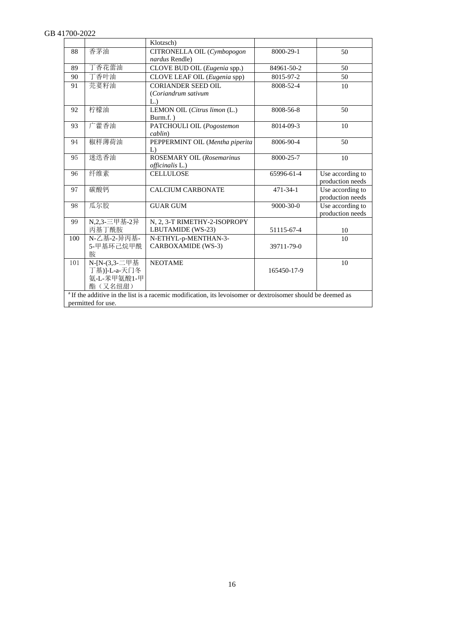|     |                    | Klotzsch)                                                                                                              |                |                  |
|-----|--------------------|------------------------------------------------------------------------------------------------------------------------|----------------|------------------|
| 88  | 香茅油                | CITRONELLA OIL (Cymbopogon                                                                                             | 8000-29-1      | 50               |
|     |                    | nardus Rendle)                                                                                                         |                |                  |
| 89  | 丁香花蕾油              | CLOVE BUD OIL (Eugenia spp.)                                                                                           | 84961-50-2     | 50               |
| 90  | 丁香叶油               | CLOVE LEAF OIL (Eugenia spp)                                                                                           | 8015-97-2      | 50               |
| 91  | 芫荽籽油               | <b>CORIANDER SEED OIL</b>                                                                                              | 8008-52-4      | 10               |
|     |                    | (Coriandrum sativum                                                                                                    |                |                  |
|     |                    | L.)                                                                                                                    |                |                  |
| 92  | 柠檬油                | LEMON OIL (Citrus limon (L.)                                                                                           | 8008-56-8      | 50               |
|     |                    | $Burn.f.$ )                                                                                                            |                |                  |
| 93  | 广藿香油               | PATCHOULI OIL (Pogostemon                                                                                              | 8014-09-3      | 10               |
|     |                    | cablin)                                                                                                                |                |                  |
| 94  | 椒样薄荷油              | PEPPERMINT OIL (Mentha piperita                                                                                        | 8006-90-4      | 50               |
|     |                    | L)                                                                                                                     |                |                  |
| 95  | 迷迭香油               | ROSEMARY OIL (Rosemarinus                                                                                              | 8000-25-7      | 10               |
|     |                    | officinalis L.)                                                                                                        |                |                  |
| 96  | 纤维素                | <b>CELLULOSE</b>                                                                                                       | 65996-61-4     | Use according to |
|     |                    |                                                                                                                        |                | production needs |
| 97  | 碳酸钙                | <b>CALCIUM CARBONATE</b>                                                                                               | $471 - 34 - 1$ | Use according to |
|     |                    |                                                                                                                        |                | production needs |
| 98  | 瓜尔胶                | <b>GUAR GUM</b>                                                                                                        | 9000-30-0      | Use according to |
|     |                    |                                                                                                                        |                | production needs |
| 99  | N,2,3-三甲基-2异       | N, 2, 3-T RIMETHY-2-ISOPROPY                                                                                           |                |                  |
|     | 丙基丁酰胺              | LBUTAMIDE (WS-23)                                                                                                      | 51115-67-4     | 10               |
| 100 | N-乙基-2-异丙基-        | N-ETHYL-p-MENTHAN-3-                                                                                                   |                | 10               |
|     | 5-甲基环己烷甲酰          | CARBOXAMIDE (WS-3)                                                                                                     | 39711-79-0     |                  |
|     | 胺                  |                                                                                                                        |                |                  |
| 101 | N-[N-(3,3-二甲基      | <b>NEOTAME</b>                                                                                                         |                | 10               |
|     | 丁基)]-L-a-天门冬       |                                                                                                                        | 165450-17-9    |                  |
|     | 氨-L-苯甲氨酸1-甲        |                                                                                                                        |                |                  |
|     | 酯(又名纽甜)            |                                                                                                                        |                |                  |
|     |                    | <sup>a</sup> If the additive in the list is a racemic modification, its levoisomer or dextroisomer should be deemed as |                |                  |
|     | permitted for use. |                                                                                                                        |                |                  |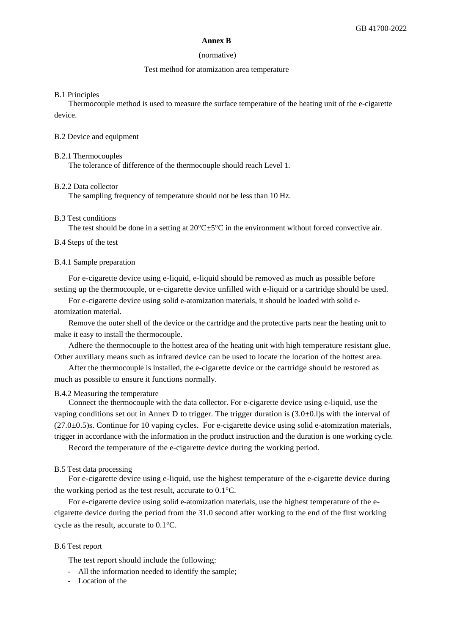#### **Annex B**

#### (normative)

#### Test method for atomization area temperature

#### <span id="page-16-0"></span>B.1 Principles

Thermocouple method is used to measure the surface temperature of the heating unit of the e-cigarette device.

#### B.2 Device and equipment

#### B.2.1 Thermocouples

The tolerance of difference of the thermocouple should reach Level 1.

#### B.2.2 Data collector

The sampling frequency of temperature should not be less than 10 Hz.

#### B.3 Test conditions

The test should be done in a setting at  $20^{\circ}$ C $\pm$ 5°C in the environment without forced convective air.

#### B.4 Steps of the test

#### B.4.1 Sample preparation

For e-cigarette device using e-liquid, e-liquid should be removed as much as possible before setting up the thermocouple, or e-cigarette device unfilled with e-liquid or a cartridge should be used.

For e-cigarette device using solid e-atomization materials, it should be loaded with solid eatomization material.

Remove the outer shell of the device or the cartridge and the protective parts near the heating unit to make it easy to install the thermocouple.

Adhere the thermocouple to the hottest area of the heating unit with high temperature resistant glue. Other auxiliary means such as infrared device can be used to locate the location of the hottest area.

After the thermocouple is installed, the e-cigarette device or the cartridge should be restored as much as possible to ensure it functions normally.

#### B.4.2 Measuring the temperature

Connect the thermocouple with the data collector. For e-cigarette device using e-liquid, use the vaping conditions set out in Annex D to trigger. The trigger duration is  $(3.0\pm0.1)$ s with the interval of (27.0±0.5)s. Continue for 10 vaping cycles. For e-cigarette device using solid e-atomization materials, trigger in accordance with the information in the product instruction and the duration is one working cycle.

Record the temperature of the e-cigarette device during the working period.

#### B.5 Test data processing

For e-cigarette device using e-liquid, use the highest temperature of the e-cigarette device during the working period as the test result, accurate to  $0.1^{\circ}$ C.

For e-cigarette device using solid e-atomization materials, use the highest temperature of the ecigarette device during the period from the 31.0 second after working to the end of the first working cycle as the result, accurate to  $0.1^{\circ}$ C.

#### B.6 Test report

The test report should include the following:

- All the information needed to identify the sample;
- Location of the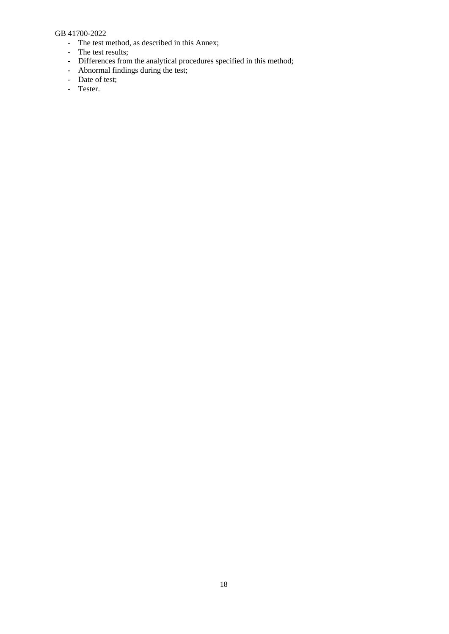- The test method, as described in this Annex;
- The test results;
- Differences from the analytical procedures specified in this method;
- Abnormal findings during the test;
- Date of test;
- Tester.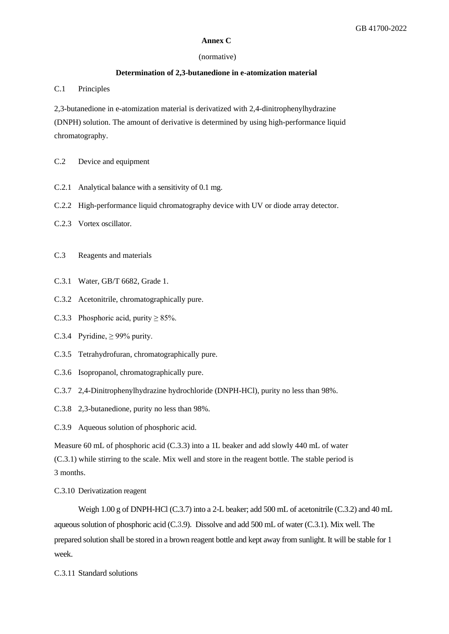#### **Annex C**

#### (normative)

#### **Determination of 2,3-butanedione in e-atomization material**

C.1 Principles

2,3-butanedione in e-atomization material is derivatized with 2,4-dinitrophenylhydrazine (DNPH) solution. The amount of derivative is determined by using high-performance liquid chromatography.

- C.2 Device and equipment
- C.2.1 Analytical balance with a sensitivity of 0.1 mg.
- C.2.2 High-performance liquid chromatography device with UV or diode array detector.
- C.2.3 Vortex oscillator.
- C.3 Reagents and materials
- C.3.1 Water, GB/T 6682, Grade 1.
- C.3.2 Acetonitrile, chromatographically pure.
- C.3.3 Phosphoric acid, purity  $\geq$  85%.
- C.3.4 Pyridine,  $\geq$  99% purity.
- C.3.5 Tetrahydrofuran, chromatographically pure.
- C.3.6 Isopropanol, chromatographically pure.
- C.3.7 2,4-Dinitrophenylhydrazine hydrochloride (DNPH-HCl), purity no less than 98%.
- C.3.8 2,3-butanedione, purity no less than 98%.
- C.3.9 Aqueous solution of phosphoric acid.

Measure 60 mL of phosphoric acid (C.3.3) into a 1L beaker and add slowly 440 mL of water (C.3.1) while stirring to the scale. Mix well and store in the reagent bottle. The stable period is 3 months.

C.3.10 Derivatization reagent

Weigh 1.00 g of DNPH-HCl (C.3.7) into a 2-L beaker; add 500 mL of acetonitrile (C.3.2) and 40 mL aqueous solution of phosphoric acid (C.3.9). Dissolve and add 500 mL of water (C.3.1). Mix well. The prepared solution shall be stored in a brown reagent bottle and kept away from sunlight. It will be stable for 1 week.

C.3.11 Standard solutions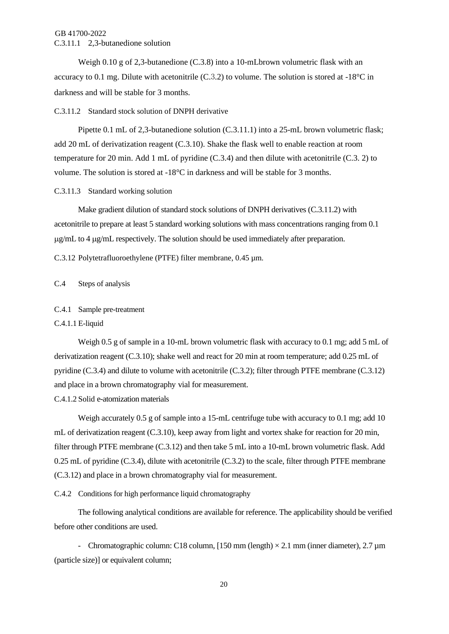#### GB 41700-2022 C.3.11.1 2,3-butanedione solution

Weigh 0.10 g of 2,3-butanedione (C.3.8) into a 10-mLbrown volumetric flask with an accuracy to 0.1 mg. Dilute with acetonitrile (C.3.2) to volume. The solution is stored at -18°C in darkness and will be stable for 3 months.

#### C.3.11.2 Standard stock solution of DNPH derivative

Pipette 0.1 mL of 2,3-butanedione solution (C.3.11.1) into a 25-mL brown volumetric flask; add 20 mL of derivatization reagent (C.3.10). Shake the flask well to enable reaction at room temperature for 20 min. Add 1 mL of pyridine (C.3.4) and then dilute with acetonitrile (C.3. 2) to volume. The solution is stored at -18°C in darkness and will be stable for 3 months.

#### C.3.11.3 Standard working solution

Make gradient dilution of standard stock solutions of DNPH derivatives (C.3.11.2) with acetonitrile to prepare at least 5 standard working solutions with mass concentrations ranging from 0.1  $\mu$ g/mL to 4  $\mu$ g/mL respectively. The solution should be used immediately after preparation.

C.3.12 Polytetrafluoroethylene (PTFE) filter membrane, 0.45 µm.

#### C.4 Steps of analysis

#### C.4.1 Sample pre-treatment

#### C.4.1.1 E-liquid

Weigh 0.5 g of sample in a 10-mL brown volumetric flask with accuracy to 0.1 mg; add 5 mL of derivatization reagent (C.3.10); shake well and react for 20 min at room temperature; add 0.25 mL of pyridine (C.3.4) and dilute to volume with acetonitrile (C.3.2); filter through PTFE membrane (C.3.12) and place in a brown chromatography vial for measurement.

C.4.1.2 Solid e-atomization materials

Weigh accurately 0.5 g of sample into a 15-mL centrifuge tube with accuracy to 0.1 mg; add 10 mL of derivatization reagent (C.3.10), keep away from light and vortex shake for reaction for 20 min, filter through PTFE membrane (C.3.12) and then take 5 mL into a 10-mL brown volumetric flask. Add 0.25 mL of pyridine (C.3.4), dilute with acetonitrile (C.3.2) to the scale, filter through PTFE membrane (C.3.12) and place in a brown chromatography vial for measurement.

C.4.2 Conditions for high performance liquid chromatography

The following analytical conditions are available for reference. The applicability should be verified before other conditions are used.

- Chromatographic column: C18 column, [150 mm (length)  $\times$  2.1 mm (inner diameter), 2.7  $\mu$ m (particle size)] or equivalent column;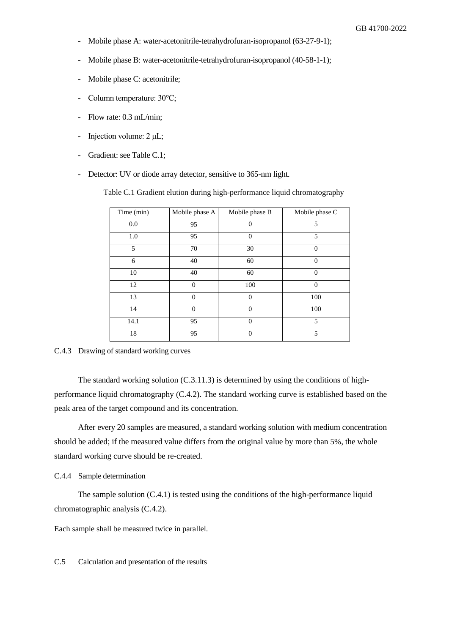- Mobile phase A: water-acetonitrile-tetrahydrofuran-isopropanol (63-27-9-1);
- Mobile phase B: water-acetonitrile-tetrahydrofuran-isopropanol (40-58-1-1);
- Mobile phase C: acetonitrile;
- Column temperature: 30℃;
- Flow rate: 0.3 mL/min;
- Injection volume: 2 μL;
- Gradient: see Table C.1;
- Detector: UV or diode array detector, sensitive to 365-nm light.

Table C.1 Gradient elution during high-performance liquid chromatography

| Time (min) | Mobile phase A | Mobile phase B | Mobile phase C |
|------------|----------------|----------------|----------------|
| 0.0        | 95             | $\Omega$       | 5              |
| 1.0        | 95             | $\Omega$       | 5              |
| 5          | 70             | 30             | $\Omega$       |
| 6          | 40             | 60             | $\Omega$       |
| 10         | 40             | 60             | $\Omega$       |
| 12         | $\theta$       | 100            | $\Omega$       |
| 13         | $\theta$       | $\Omega$       | 100            |
| 14         | $\overline{0}$ | $\Omega$       | 100            |
| 14.1       | 95             | $\Omega$       | 5              |
| 18         | 95             | $\Omega$       | 5              |

C.4.3 Drawing of standard working curves

The standard working solution (C.3.11.3) is determined by using the conditions of highperformance liquid chromatography (C.4.2). The standard working curve is established based on the peak area of the target compound and its concentration.

After every 20 samples are measured, a standard working solution with medium concentration should be added; if the measured value differs from the original value by more than 5%, the whole standard working curve should be re-created.

C.4.4 Sample determination

The sample solution (C.4.1) is tested using the conditions of the high-performance liquid chromatographic analysis (C.4.2).

Each sample shall be measured twice in parallel.

C.5 Calculation and presentation of the results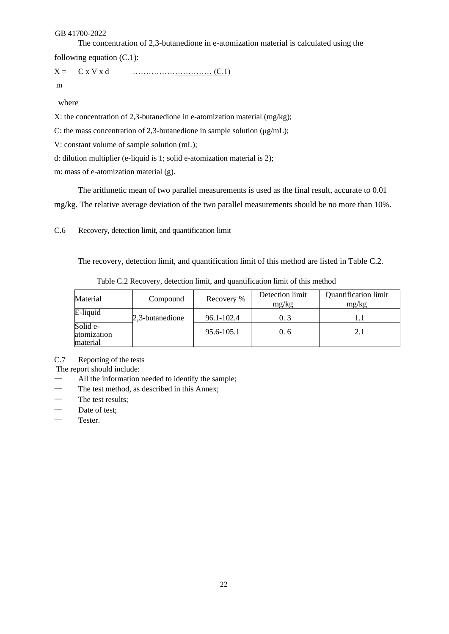The concentration of 2,3-butanedione in e-atomization material is calculated using the

following equation (C.1):

X = C x V x d ………………………… (C.1)

m

where

X: the concentration of 2,3-butanedione in e-atomization material (mg/kg);

C: the mass concentration of 2,3-butanedione in sample solution (μg/mL);

V: constant volume of sample solution (mL);

d: dilution multiplier (e-liquid is 1; solid e-atomization material is 2);

m: mass of e-atomization material (g).

The arithmetic mean of two parallel measurements is used as the final result, accurate to 0.01 mg/kg. The relative average deviation of the two parallel measurements should be no more than 10%.

C.6 Recovery, detection limit, and quantification limit

The recovery, detection limit, and quantification limit of this method are listed in Table C.2.

| Material                            | Compound        | Recovery % | Detection limit<br>mg/kg | <b>Quantification limit</b><br>mg/kg |
|-------------------------------------|-----------------|------------|--------------------------|--------------------------------------|
| E-liquid                            | 2,3-butanedione | 96.1-102.4 | 0, 3                     |                                      |
| Solid e-<br>atomization<br>material |                 | 95.6-105.1 | 0.6                      | 2.1                                  |

Table C.2 Recovery, detection limit, and quantification limit of this method

C.7 Reporting of the tests

The report should include:

- All the information needed to identify the sample;
- The test method, as described in this Annex;
- The test results;
- Date of test;
- Tester.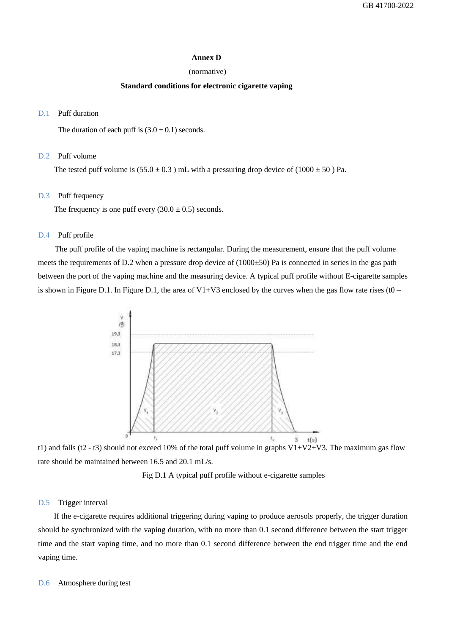#### **Annex D**

#### (normative)

#### **Standard conditions for electronic cigarette vaping**

#### <span id="page-22-0"></span>D.1 Puff duration

The duration of each puff is  $(3.0 \pm 0.1)$  seconds.

#### D.2 Puff volume

The tested puff volume is  $(55.0 \pm 0.3)$  mL with a pressuring drop device of  $(1000 \pm 50)$  Pa.

#### D.3 Puff frequency

The frequency is one puff every  $(30.0 \pm 0.5)$  seconds.

#### D.4 Puff profile

The puff profile of the vaping machine is rectangular. During the measurement, ensure that the puff volume meets the requirements of D.2 when a pressure drop device of (1000±50) Pa is connected in series in the gas path between the port of the vaping machine and the measuring device. A typical puff profile without E-cigarette samples is shown in Figure D.1. In Figure D.1, the area of  $V1+V3$  enclosed by the curves when the gas flow rate rises (t0 –



t1) and falls (t2 - t3) should not exceed 10% of the total puff volume in graphs  $V1+V2+V3$ . The maximum gas flow rate should be maintained between 16.5 and 20.1 mL/s.

Fig D.1 A typical puff profile without e-cigarette samples

#### D.5 Trigger interval

If the e-cigarette requires additional triggering during vaping to produce aerosols properly, the trigger duration should be synchronized with the vaping duration, with no more than 0.1 second difference between the start trigger time and the start vaping time, and no more than 0.1 second difference between the end trigger time and the end vaping time.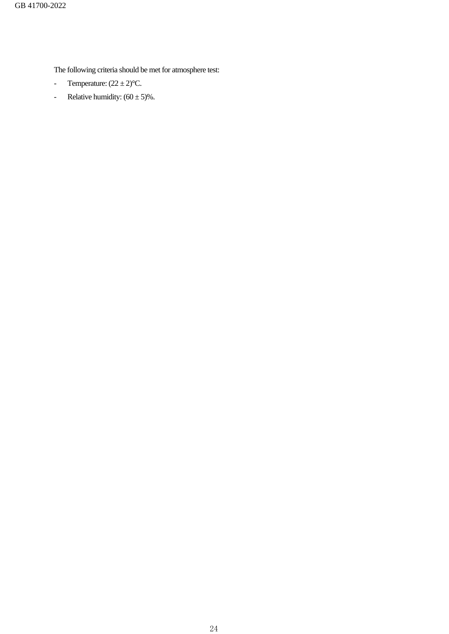The following criteria should be met for atmosphere test:

- Temperature:  $(22 \pm 2)$ <sup>o</sup>C.
- Relative humidity:  $(60 \pm 5)\%$ .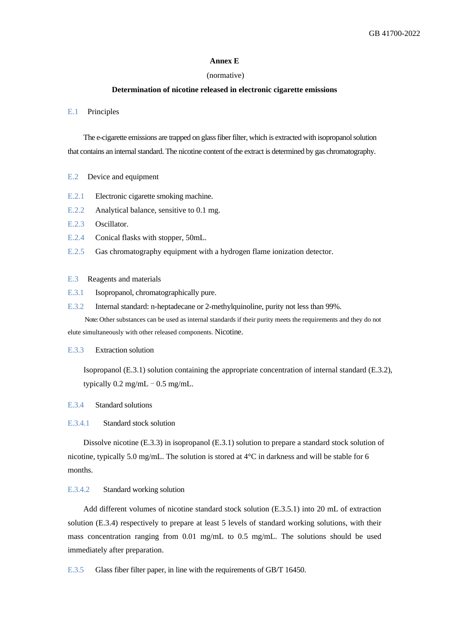#### **Annex E**

#### (normative)

#### **Determination of nicotine released in electronic cigarette emissions**

#### <span id="page-24-0"></span>E.1 Principles

The e-cigarette emissions are trapped on glass fiber filter, which is extracted with isopropanol solution that contains an internal standard. The nicotine content of the extract is determined by gas chromatography.

- E.2 Device and equipment
- E.2.1 Electronic cigarette smoking machine.
- E.2.2 Analytical balance, sensitive to 0.1 mg.
- E.2.3 Oscillator.
- E.2.4 Conical flasks with stopper, 50mL.
- E.2.5 Gas chromatography equipment with a hydrogen flame ionization detector.

#### E.3 Reagents and materials

- E.3.1 Isopropanol, chromatographically pure.
- E.3.2 Internal standard: n-heptadecane or 2-methylquinoline, purity not less than 99%.

Note: Other substances can be used as internal standards if their purity meets the requirements and they do not elute simultaneously with other released components. Nicotine.

#### E.3.3 Extraction solution

Isopropanol (E.3.1) solution containing the appropriate concentration of internal standard (E.3.2), typically  $0.2$  mg/mL  $- 0.5$  mg/mL.

#### E.3.4 Standard solutions

#### E.3.4.1 Standard stock solution

Dissolve nicotine (E.3.3) in isopropanol (E.3.1) solution to prepare a standard stock solution of nicotine, typically 5.0 mg/mL. The solution is stored at  $4^{\circ}$ C in darkness and will be stable for 6 months.

#### E.3.4.2 Standard working solution

Add different volumes of nicotine standard stock solution (E.3.5.1) into 20 mL of extraction solution (E.3.4) respectively to prepare at least 5 levels of standard working solutions, with their mass concentration ranging from 0.01 mg/mL to 0.5 mg/mL. The solutions should be used immediately after preparation.

E.3.5 Glass fiber filter paper, in line with the requirements of GB/T 16450.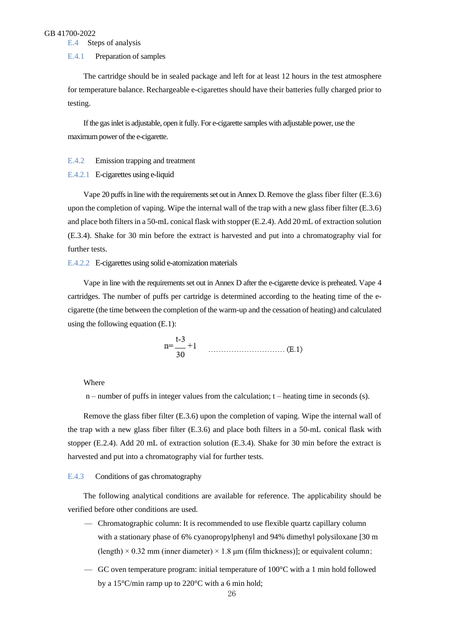E.4 Steps of analysis

#### E.4.1 Preparation of samples

The cartridge should be in sealed package and left for at least 12 hours in the test atmosphere for temperature balance. Rechargeable e-cigarettes should have their batteries fully charged prior to testing.

If the gas inlet is adjustable, open it fully. For e-cigarette samples with adjustable power, use the maximum power of the e-cigarette.

#### E.4.2 Emission trapping and treatment

E.4.2.1 E-cigarettes using e-liquid

Vape 20 puffs in line with the requirements set out in Annex D. Remove the glass fiber filter (E.3.6) upon the completion of vaping. Wipe the internal wall of the trap with a new glass fiber filter (E.3.6) and place both filters in a 50-mL conical flask with stopper (E.2.4). Add 20 mL of extraction solution (E.3.4). Shake for 30 min before the extract is harvested and put into a chromatography vial for further tests.

#### E.4.2.2 E-cigarettes using solid e-atomization materials

Vape in line with the requirements set out in Annex D after the e-cigarette device is preheated. Vape 4 cartridges. The number of puffs per cartridge is determined according to the heating time of the ecigarette (the time between the completion of the warm-up and the cessation of heating) and calculated using the following equation (E.1):

$$
n = \frac{t-3}{30} + 1
$$
 (E.1)

Where

 $n$  – number of puffs in integer values from the calculation;  $t$  – heating time in seconds (s).

Remove the glass fiber filter (E.3.6) upon the completion of vaping. Wipe the internal wall of the trap with a new glass fiber filter (E.3.6) and place both filters in a 50-mL conical flask with stopper (E.2.4). Add 20 mL of extraction solution (E.3.4). Shake for 30 min before the extract is harvested and put into a chromatography vial for further tests.

#### E.4.3 Conditions of gas chromatography

The following analytical conditions are available for reference. The applicability should be verified before other conditions are used.

- Chromatographic column: It is recommended to use flexible quartz capillary column with a stationary phase of 6% cyanopropylphenyl and 94% dimethyl polysiloxane [30 m  $(\text{length}) \times 0.32 \text{ mm (inner diameter)} \times 1.8 \text{ µm (film thickness)}$ ; or equivalent column;
- GC oven temperature program: initial temperature of  $100^{\circ}$ C with a 1 min hold followed by a 15°C/min ramp up to 220°C with a 6 min hold;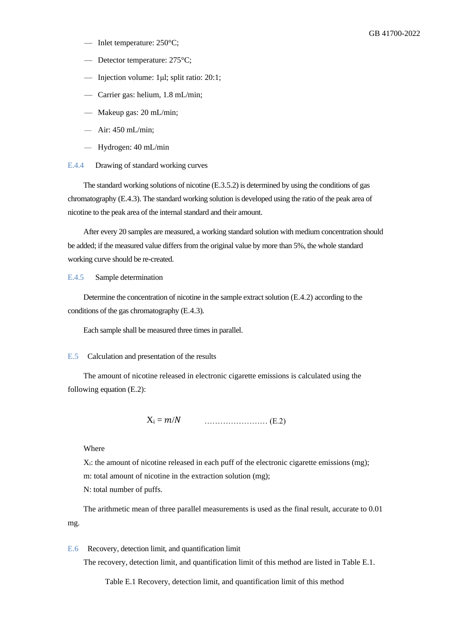- Inlet temperature: 250°C;
- Detector temperature: 275°C;
- Injection volume: 1μl; split ratio: 20:1;
- Carrier gas: helium, 1.8 mL/min;
- Makeup gas: 20 mL/min;
- Air: 450 mL/min;
- Hydrogen: 40 mL/min
- E.4.4 Drawing of standard working curves

The standard working solutions of nicotine (E.3.5.2) is determined by using the conditions of gas chromatography (E.4.3). The standard working solution is developed using the ratio of the peak area of nicotine to the peak area of the internal standard and their amount.

After every 20 samples are measured, a working standard solution with medium concentration should be added; if the measured value differs from the original value by more than 5%, the whole standard working curve should be re-created.

#### E.4.5 Sample determination

Determine the concentration of nicotine in the sample extract solution (E.4.2) according to the conditions of the gas chromatography (E.4.3).

Each sample shall be measured three times in parallel.

#### E.5 Calculation and presentation of the results

The amount of nicotine released in electronic cigarette emissions is calculated using the following equation (E.2):

X<sup>i</sup> = / …………………… (E.2)

Where

 $X_i$ : the amount of nicotine released in each puff of the electronic cigarette emissions (mg);

m: total amount of nicotine in the extraction solution (mg);

N: total number of puffs.

The arithmetic mean of three parallel measurements is used as the final result, accurate to 0.01 mg.

E.6 Recovery, detection limit, and quantification limit

The recovery, detection limit, and quantification limit of this method are listed in Table E.1.

Table E.1 Recovery, detection limit, and quantification limit of this method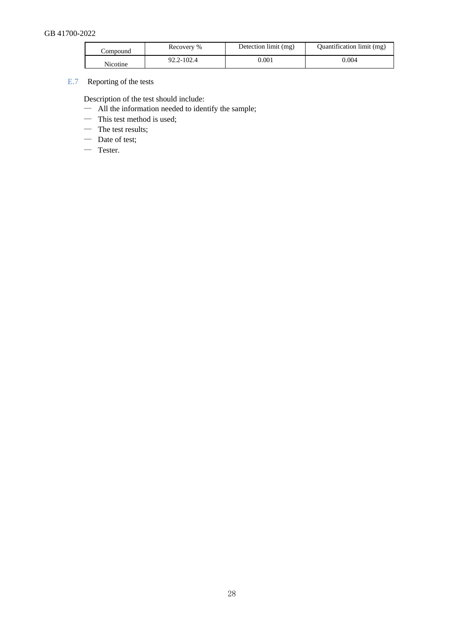| ∠ompound | Recovery % | Detection limit (mg) | Quantification limit (mg) |
|----------|------------|----------------------|---------------------------|
| Nicotine | 92.2-102.4 | $0.001\,$            | 0.004                     |

E.7 Reporting of the tests

Description of the test should include:

- All the information needed to identify the sample;
- This test method is used;
- The test results;
- Date of test;
- Tester.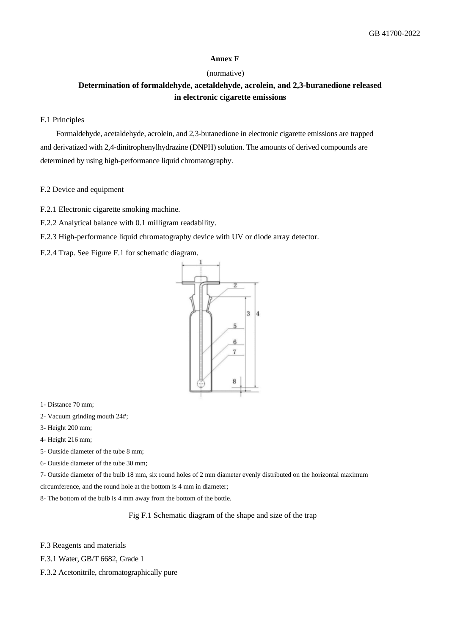#### **Annex F**

#### (normative)

### <span id="page-28-0"></span>**Determination of formaldehyde, acetaldehyde, acrolein, and 2,3-buranedione released in electronic cigarette emissions**

#### F.1 Principles

Formaldehyde, acetaldehyde, acrolein, and 2,3-butanedione in electronic cigarette emissions are trapped and derivatized with 2,4-dinitrophenylhydrazine (DNPH) solution. The amounts of derived compounds are determined by using high-performance liquid chromatography.

#### F.2 Device and equipment

- F.2.1 Electronic cigarette smoking machine.
- F.2.2 Analytical balance with 0.1 milligram readability.
- F.2.3 High-performance liquid chromatography device with UV or diode array detector.

F.2.4 Trap. See Figure F.1 for schematic diagram.



1- Distance 70 mm;

- 2- Vacuum grinding mouth 24#;
- 3- Height 200 mm;
- 4- Height 216 mm;
- 5- Outside diameter of the tube 8 mm;
- 6- Outside diameter of the tube 30 mm;

7- Outside diameter of the bulb 18 mm, six round holes of 2 mm diameter evenly distributed on the horizontal maximum

- circumference, and the round hole at the bottom is 4 mm in diameter;
- 8- The bottom of the bulb is 4 mm away from the bottom of the bottle.

Fig F.1 Schematic diagram of the shape and size of the trap

F.3 Reagents and materials

- F.3.1 Water, GB/T 6682, Grade 1
- F.3.2 Acetonitrile, chromatographically pure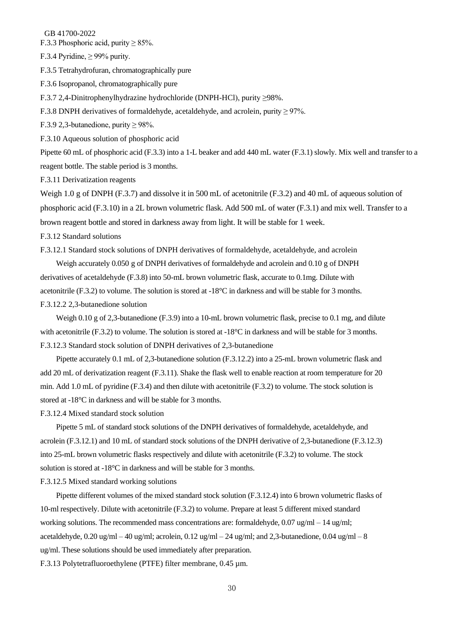F.3.3 Phosphoric acid, purity  $\geq$  85%.

F.3.4 Pyridine,  $\geq$  99% purity.

F.3.5 Tetrahydrofuran, chromatographically pure

F.3.6 Isopropanol, chromatographically pure

F.3.7 2,4-Dinitrophenylhydrazine hydrochloride (DNPH-HCl), purity ≥98%.

F.3.8 DNPH derivatives of formaldehyde, acetaldehyde, and acrolein, purity  $\geq$  97%.

F.3.9 2,3-butanedione, purity  $\geq$  98%.

F.3.10 Aqueous solution of phosphoric acid

Pipette 60 mL of phosphoric acid (F.3.3) into a 1-L beaker and add 440 mL water (F.3.1) slowly. Mix well and transfer to a reagent bottle. The stable period is 3 months.

F.3.11 Derivatization reagents

Weigh 1.0 g of DNPH (F.3.7) and dissolve it in 500 mL of acetonitrile (F.3.2) and 40 mL of aqueous solution of phosphoric acid (F.3.10) in a 2L brown volumetric flask. Add 500 mL of water (F.3.1) and mix well. Transfer to a brown reagent bottle and stored in darkness away from light. It will be stable for 1 week.

F.3.12 Standard solutions

F.3.12.1 Standard stock solutions of DNPH derivatives of formaldehyde, acetaldehyde, and acrolein

Weigh accurately 0.050 g of DNPH derivatives of formaldehyde and acrolein and 0.10 g of DNPH derivatives of acetaldehyde (F.3.8) into 50-mL brown volumetric flask, accurate to 0.1mg. Dilute with acetonitrile (F.3.2) to volume. The solution is stored at -18°C in darkness and will be stable for 3 months. F.3.12.2 2,3-butanedione solution

Weigh 0.10 g of 2,3-butanedione (F.3.9) into a 10-mL brown volumetric flask, precise to 0.1 mg, and dilute with acetonitrile (F.3.2) to volume. The solution is stored at -18°C in darkness and will be stable for 3 months. F.3.12.3 Standard stock solution of DNPH derivatives of 2,3-butanedione

Pipette accurately 0.1 mL of 2,3-butanedione solution (F.3.12.2) into a 25-mL brown volumetric flask and add 20 mL of derivatization reagent (F.3.11). Shake the flask well to enable reaction at room temperature for 20 min. Add 1.0 mL of pyridine (F.3.4) and then dilute with acetonitrile (F.3.2) to volume. The stock solution is stored at -18°C in darkness and will be stable for 3 months.

F.3.12.4 Mixed standard stock solution

Pipette 5 mL of standard stock solutions of the DNPH derivatives of formaldehyde, acetaldehyde, and acrolein (F.3.12.1) and 10 mL of standard stock solutions of the DNPH derivative of 2,3-butanedione (F.3.12.3) into 25-mL brown volumetric flasks respectively and dilute with acetonitrile (F.3.2) to volume. The stock solution is stored at -18°C in darkness and will be stable for 3 months.

F.3.12.5 Mixed standard working solutions

Pipette different volumes of the mixed standard stock solution (F.3.12.4) into 6 brown volumetric flasks of 10-ml respectively. Dilute with acetonitrile (F.3.2) to volume. Prepare at least 5 different mixed standard working solutions. The recommended mass concentrations are: formaldehyde,  $0.07 \text{ ug/ml} - 14 \text{ ug/ml}$ ; acetaldehyde,  $0.20 \text{ ug/ml} - 40 \text{ ug/ml}$ ; acrolein,  $0.12 \text{ ug/ml} - 24 \text{ ug/ml}$ ; and  $2.3$ -butanedione,  $0.04 \text{ ug/ml} - 8$ ug/ml. These solutions should be used immediately after preparation.

F.3.13 Polytetrafluoroethylene (PTFE) filter membrane, 0.45 µm.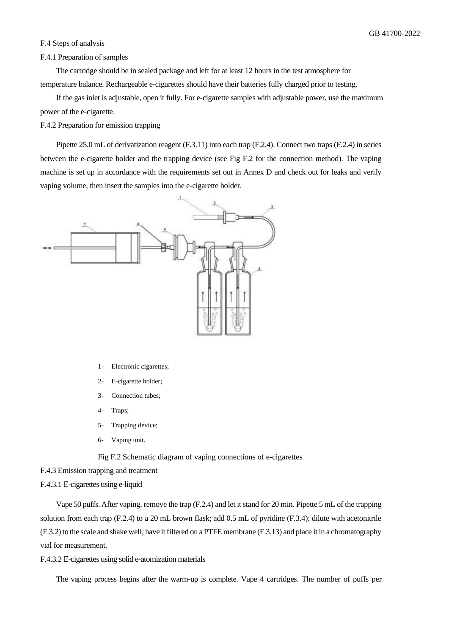#### F.4 Steps of analysis

#### F.4.1 Preparation of samples

The cartridge should be in sealed package and left for at least 12 hours in the test atmosphere for temperature balance. Rechargeable e-cigarettes should have their batteries fully charged prior to testing.

If the gas inlet is adjustable, open it fully. For e-cigarette samples with adjustable power, use the maximum power of the e-cigarette.

F.4.2 Preparation for emission trapping

Pipette 25.0 mL of derivatization reagent (F.3.11) into each trap (F.2.4). Connect two traps (F.2.4) in series between the e-cigarette holder and the trapping device (see Fig F.2 for the connection method). The vaping machine is set up in accordance with the requirements set out in Annex D and check out for leaks and verify vaping volume, then insert the samples into the e-cigarette holder.



- 1- Electronic cigarettes;
- 2- E-cigarette holder;
- 3- Connection tubes;
- 4- Traps;
- 5- Trapping device;
- 6- Vaping unit.

Fig F.2 Schematic diagram of vaping connections of e-cigarettes

F.4.3 Emission trapping and treatment

F.4.3.1 E-cigarettes using e-liquid

Vape 50 puffs. After vaping, remove the trap (F.2.4) and let it stand for 20 min. Pipette 5 mL of the trapping solution from each trap (F.2.4) to a 20 mL brown flask; add 0.5 mL of pyridine (F.3.4); dilute with acetonitrile (F.3.2) to the scale and shake well; have it filtered on a PTFE membrane (F.3.13) and place it in a chromatography vial for measurement.

F.4.3.2 E-cigarettes using solid e-atomization materials

The vaping process begins after the warm-up is complete. Vape 4 cartridges. The number of puffs per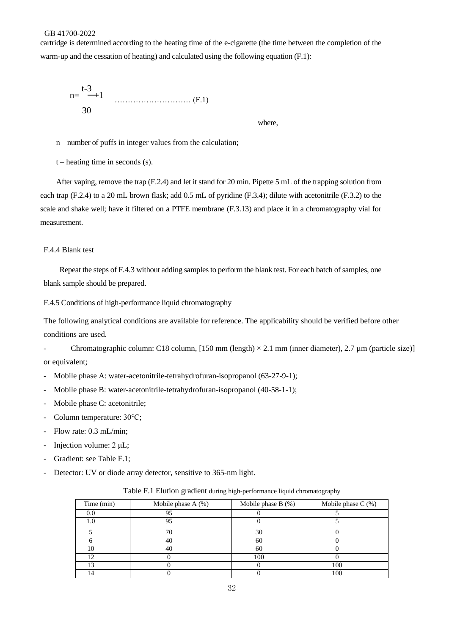cartridge is determined according to the heating time of the e-cigarette (the time between the completion of the warm-up and the cessation of heating) and calculated using the following equation (F.1):

$$
n = \frac{t-3}{30} + 1
$$
 (F.1)

where,

n – number of puffs in integer values from the calculation;

 $t$  – heating time in seconds (s).

After vaping, remove the trap (F.2.4) and let it stand for 20 min. Pipette 5 mL of the trapping solution from each trap (F.2.4) to a 20 mL brown flask; add 0.5 mL of pyridine (F.3.4); dilute with acetonitrile (F.3.2) to the scale and shake well; have it filtered on a PTFE membrane (F.3.13) and place it in a chromatography vial for measurement.

#### F.4.4 Blank test

Repeat the steps of F.4.3 without adding samples to perform the blank test. For each batch of samples, one blank sample should be prepared.

F.4.5 Conditions of high-performance liquid chromatography

The following analytical conditions are available for reference. The applicability should be verified before other conditions are used.

- Chromatographic column: C18 column, [150 mm (length) × 2.1 mm (inner diameter), 2.7 µm (particle size)] or equivalent;

- Mobile phase A: water-acetonitrile-tetrahydrofuran-isopropanol (63-27-9-1);
- Mobile phase B: water-acetonitrile-tetrahydrofuran-isopropanol (40-58-1-1);
- Mobile phase C: acetonitrile;
- Column temperature: 30℃;
- Flow rate: 0.3 mL/min;
- Injection volume: 2 μL;
- Gradient: see Table F.1;
- Detector: UV or diode array detector, sensitive to 365-nm light.

| Time (min) | Mobile phase A (%) | Mobile phase B (%) | Mobile phase $C$ (%) |
|------------|--------------------|--------------------|----------------------|
|            | 95                 |                    |                      |
|            | 95                 |                    |                      |
|            |                    | 30                 |                      |
|            |                    |                    |                      |
|            | 40                 | 60                 |                      |
| 1 ^        |                    | 100                |                      |
| 1 ລ        |                    |                    | 100                  |
|            |                    |                    | 100                  |

Table F.1 Elution gradient during high-performance liquid chromatography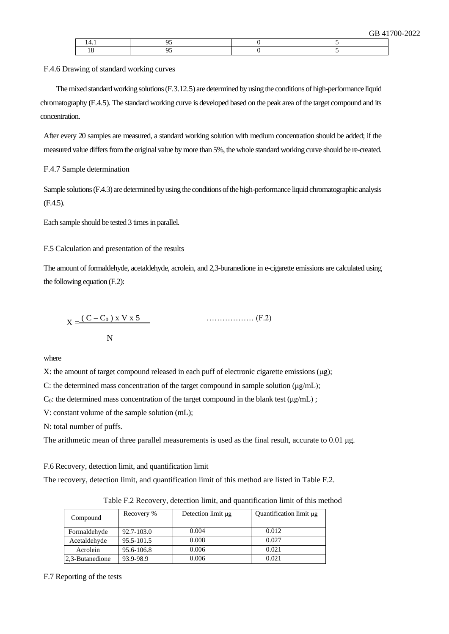F.4.6 Drawing of standard working curves

The mixed standard working solutions (F.3.12.5) are determined by using the conditions of high-performance liquid chromatography (F.4.5). The standard working curve is developed based on the peak area of the target compound and its concentration.

After every 20 samples are measured, a standard working solution with medium concentration should be added; if the measured value differs from the original value by more than 5%, the whole standard working curve should be re-created.

F.4.7 Sample determination

Sample solutions (F.4.3) are determined by using the conditions of the high-performance liquid chromatographic analysis (F.4.5).

Each sample should be tested 3 times in parallel.

F.5 Calculation and presentation of the results

The amount of formaldehyde, acetaldehyde, acrolein, and 2,3-buranedione in e-cigarette emissions are calculated using the following equation (F.2):

$$
X = \frac{(C - C_0) \times V \times 5}{N}
$$
 (F.2)

where

X: the amount of target compound released in each puff of electronic cigarette emissions ( $\mu$ g);

C: the determined mass concentration of the target compound in sample solution (μg/mL);

C<sub>0</sub>: the determined mass concentration of the target compound in the blank test ( $\mu$ g/mL);

V: constant volume of the sample solution (mL);

N: total number of puffs.

The arithmetic mean of three parallel measurements is used as the final result, accurate to 0.01  $\mu$ g.

F.6 Recovery, detection limit, and quantification limit

The recovery, detection limit, and quantification limit of this method are listed in Table F.2.

| Compound        | Recovery % | Detection limit µg | Quantification limit µg |
|-----------------|------------|--------------------|-------------------------|
| Formaldehyde    | 92.7-103.0 | 0.004              | 0.012                   |
| Acetaldehyde    | 95.5-101.5 | 0.008              | 0.027                   |
| Acrolein        | 95.6-106.8 | 0.006              | 0.021                   |
| 2,3-Butanedione | 93.9-98.9  | 0.006              | 0.021                   |

Table F.2 Recovery, detection limit, and quantification limit of this method

F.7 Reporting of the tests